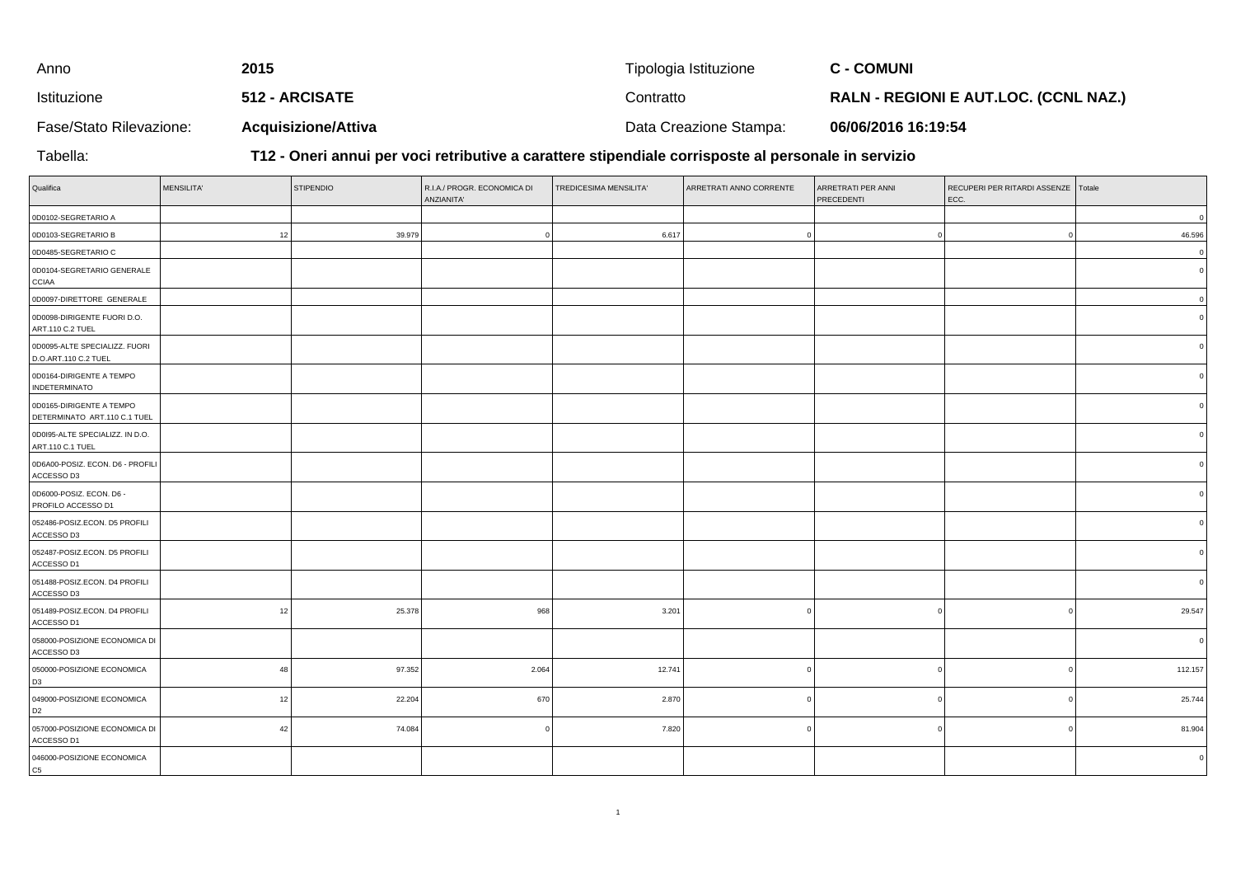| Anno                    | 2015                       | Tipologia Istituzione  | <b>C - COMUNI</b>                            |
|-------------------------|----------------------------|------------------------|----------------------------------------------|
| Istituzione             | <b>512 - ARCISATE</b>      | Contratto              | <b>RALN - REGIONI E AUT.LOC. (CCNL NAZ.)</b> |
| Fase/Stato Rilevazione: | <b>Acquisizione/Attiva</b> | Data Creazione Stampa: | 06/06/2016 16:19:54                          |

Tabella:

**T12 - Oneri annui per voci retributive a carattere stipendiale corrisposte al personale in servizio**

| Qualifica                                                | <b>MENSILITA'</b> | <b>STIPENDIO</b> | R.I.A./ PROGR. ECONOMICA DI<br>ANZIANITA' | TREDICESIMA MENSILITA' | ARRETRATI ANNO CORRENTE | ARRETRATI PER ANNI<br>PRECEDENTI | RECUPERI PER RITARDI ASSENZE Totale<br>ECC. |          |
|----------------------------------------------------------|-------------------|------------------|-------------------------------------------|------------------------|-------------------------|----------------------------------|---------------------------------------------|----------|
| 0D0102-SEGRETARIO A                                      |                   |                  |                                           |                        |                         |                                  |                                             | $\Omega$ |
| 0D0103-SEGRETARIO B                                      | 12                | 39.979           |                                           | 6.617                  |                         | $\sqrt{2}$                       | $\Omega$                                    | 46.596   |
| 0D0485-SEGRETARIO C                                      |                   |                  |                                           |                        |                         |                                  |                                             | $\Omega$ |
| 0D0104-SEGRETARIO GENERALE<br><b>CCIAA</b>               |                   |                  |                                           |                        |                         |                                  |                                             |          |
| 0D0097-DIRETTORE GENERALE                                |                   |                  |                                           |                        |                         |                                  |                                             | $\Omega$ |
| 0D0098-DIRIGENTE FUORI D.O.<br>ART.110 C.2 TUEL          |                   |                  |                                           |                        |                         |                                  |                                             |          |
| 0D0095-ALTE SPECIALIZZ. FUORI<br>D.O.ART.110 C.2 TUEL    |                   |                  |                                           |                        |                         |                                  |                                             |          |
| 0D0164-DIRIGENTE A TEMPO<br><b>INDETERMINATO</b>         |                   |                  |                                           |                        |                         |                                  |                                             |          |
| 0D0165-DIRIGENTE A TEMPO<br>DETERMINATO ART.110 C.1 TUEL |                   |                  |                                           |                        |                         |                                  |                                             |          |
| 0D0I95-ALTE SPECIALIZZ. IN D.O.<br>ART.110 C.1 TUEL      |                   |                  |                                           |                        |                         |                                  |                                             |          |
| 0D6A00-POSIZ. ECON. D6 - PROFILI<br>ACCESSO D3           |                   |                  |                                           |                        |                         |                                  |                                             |          |
| 0D6000-POSIZ. ECON. D6 -<br>PROFILO ACCESSO D1           |                   |                  |                                           |                        |                         |                                  |                                             |          |
| 052486-POSIZ.ECON. D5 PROFILI<br>ACCESSO D3              |                   |                  |                                           |                        |                         |                                  |                                             |          |
| 052487-POSIZ.ECON. D5 PROFILI<br>ACCESSO D1              |                   |                  |                                           |                        |                         |                                  |                                             |          |
| 051488-POSIZ.ECON. D4 PROFILI<br>ACCESSO D3              |                   |                  |                                           |                        |                         |                                  |                                             |          |
| 051489-POSIZ.ECON. D4 PROFILI<br>ACCESSO D1              | 12                | 25.378           | 968                                       | 3.201                  |                         |                                  | $\Omega$                                    | 29.547   |
| 058000-POSIZIONE ECONOMICA DI<br>ACCESSO D3              |                   |                  |                                           |                        |                         |                                  |                                             |          |
| 050000-POSIZIONE ECONOMICA<br>D <sub>3</sub>             | 48                | 97.352           | 2.064                                     | 12.741                 |                         | O                                | $\Omega$                                    | 112.157  |
| 049000-POSIZIONE ECONOMICA<br>D <sub>2</sub>             | 12                | 22.204           | 670                                       | 2.870                  |                         | C                                | $\Omega$                                    | 25.744   |
| 057000-POSIZIONE ECONOMICA DI<br>ACCESSO D1              | 42                | 74.084           |                                           | 7.820                  |                         |                                  | $\Omega$                                    | 81.904   |
| 046000-POSIZIONE ECONOMICA<br>C <sub>5</sub>             |                   |                  |                                           |                        |                         |                                  |                                             |          |